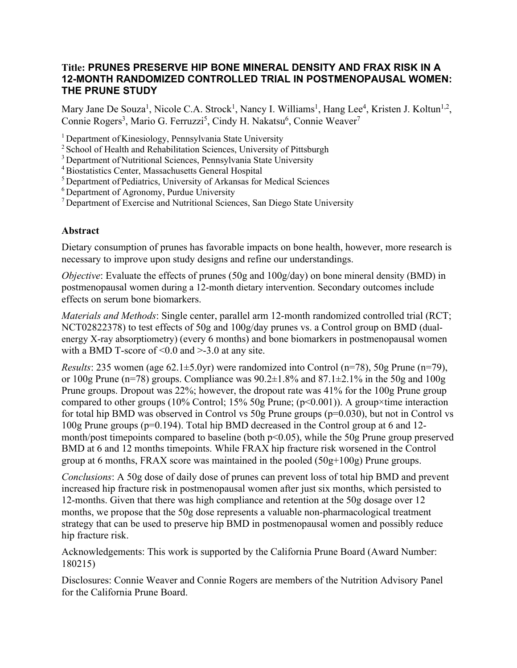## **Title: PRUNES PRESERVE HIP BONE MINERAL DENSITY AND FRAX RISK IN A 12-MONTH RANDOMIZED CONTROLLED TRIAL IN POSTMENOPAUSAL WOMEN: THE PRUNE STUDY**

Mary Jane De Souza<sup>1</sup>, Nicole C.A. Strock<sup>1</sup>, Nancy I. Williams<sup>1</sup>, Hang Lee<sup>4</sup>, Kristen J. Koltun<sup>1,2</sup>, Connie Rogers<sup>3</sup>, Mario G. Ferruzzi<sup>5</sup>, Cindy H. Nakatsu<sup>6</sup>, Connie Weaver<sup>7</sup>

<sup>1</sup> Department of Kinesiology, Pennsylvania State University

<sup>2</sup> School of Health and Rehabilitation Sciences, University of Pittsburgh

3 Department of Nutritional Sciences, Pennsylvania State University

4Biostatistics Center, Massachusetts General Hospital

<sup>5</sup> Department of Pediatrics, University of Arkansas for Medical Sciences

 $6$  Department of Agronomy, Purdue University

 $<sup>7</sup>$  Department of Exercise and Nutritional Sciences, San Diego State University</sup>

## **Abstract**

Dietary consumption of prunes has favorable impacts on bone health, however, more research is necessary to improve upon study designs and refine our understandings.

*Objective*: Evaluate the effects of prunes (50g and 100g/day) on bone mineral density (BMD) in postmenopausal women during a 12-month dietary intervention. Secondary outcomes include effects on serum bone biomarkers.

*Materials and Methods*: Single center, parallel arm 12-month randomized controlled trial (RCT; NCT02822378) to test effects of 50g and 100g/day prunes vs. a Control group on BMD (dualenergy X-ray absorptiometry) (every 6 months) and bone biomarkers in postmenopausal women with a BMD T-score of  $\leq 0.0$  and  $\geq -3.0$  at any site.

*Results*: 235 women (age  $62.1 \pm 5.0$ yr) were randomized into Control (n=78), 50g Prune (n=79), or 100g Prune (n=78) groups. Compliance was  $90.2\pm1.8\%$  and  $87.1\pm2.1\%$  in the 50g and 100g Prune groups. Dropout was 22%; however, the dropout rate was 41% for the 100g Prune group compared to other groups (10% Control; 15% 50g Prune; (p<0.001)). A group×time interaction for total hip BMD was observed in Control vs  $50g$  Prune groups ( $p=0.030$ ), but not in Control vs 100g Prune groups (p=0.194). Total hip BMD decreased in the Control group at 6 and 12 month/post timepoints compared to baseline (both  $p<0.05$ ), while the 50g Prune group preserved BMD at 6 and 12 months timepoints. While FRAX hip fracture risk worsened in the Control group at 6 months, FRAX score was maintained in the pooled  $(50g+100g)$  Prune groups.

*Conclusions*: A 50g dose of daily dose of prunes can prevent loss of total hip BMD and prevent increased hip fracture risk in postmenopausal women after just six months, which persisted to 12-months. Given that there was high compliance and retention at the 50g dosage over 12 months, we propose that the 50g dose represents a valuable non-pharmacological treatment strategy that can be used to preserve hip BMD in postmenopausal women and possibly reduce hip fracture risk.

Acknowledgements: This work is supported by the California Prune Board (Award Number: 180215)

Disclosures: Connie Weaver and Connie Rogers are members of the Nutrition Advisory Panel for the California Prune Board.